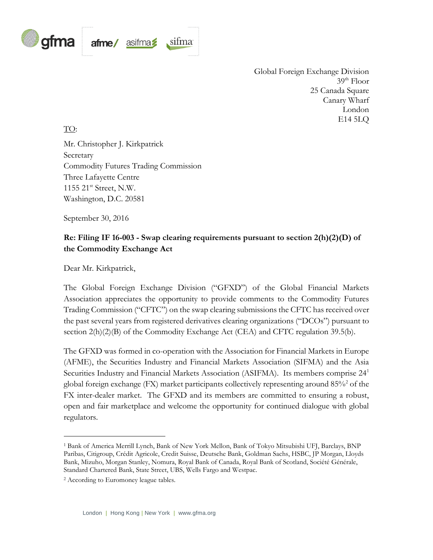

Global Foreign Exchange Division  $39<sup>th</sup>$  Floor 25 Canada Square Canary Wharf London E14 5LQ

#### TO:

Mr. Christopher J. Kirkpatrick Secretary Commodity Futures Trading Commission Three Lafayette Centre 1155 21<sup>st</sup> Street, N.W. Washington, D.C. 20581

September 30, 2016

## **Re: Filing IF 16-003 - Swap clearing requirements pursuant to section 2(h)(2)(D) of the Commodity Exchange Act**

Dear Mr. Kirkpatrick,

The Global Foreign Exchange Division ("GFXD") of the Global Financial Markets Association appreciates the opportunity to provide comments to the Commodity Futures Trading Commission ("CFTC") on the swap clearing submissions the CFTC has received over the past several years from registered derivatives clearing organizations ("DCOs") pursuant to section  $2(h)(2)(B)$  of the Commodity Exchange Act (CEA) and CFTC regulation 39.5(b).

The GFXD was formed in co-operation with the Association for Financial Markets in Europe (AFME), the Securities Industry and Financial Markets Association (SIFMA) and the Asia Securities Industry and Financial Markets Association (ASIFMA). Its members comprise 24<sup>1</sup> global foreign exchange (FX) market participants collectively representing around  $85\%$  of the FX inter-dealer market. The GFXD and its members are committed to ensuring a robust, open and fair marketplace and welcome the opportunity for continued dialogue with global regulators.

<sup>1</sup> Bank of America Merrill Lynch, Bank of New York Mellon, Bank of Tokyo Mitsubishi UFJ, Barclays, BNP Paribas, Citigroup, Crédit Agricole, Credit Suisse, Deutsche Bank, Goldman Sachs, HSBC, JP Morgan, Lloyds Bank, Mizuho, Morgan Stanley, Nomura, Royal Bank of Canada, Royal Bank of Scotland, Société Générale, Standard Chartered Bank, State Street, UBS, Wells Fargo and Westpac.

<sup>2</sup> According to Euromoney league tables.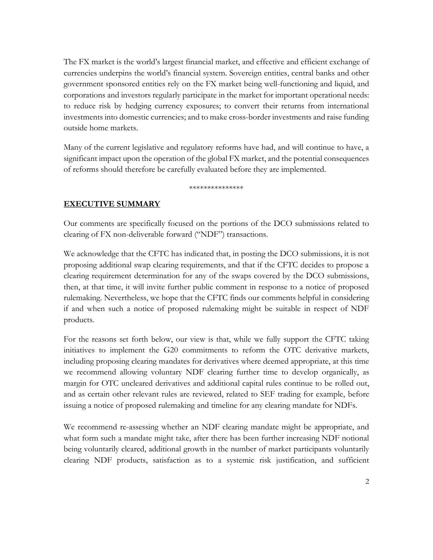The FX market is the world's largest financial market, and effective and efficient exchange of currencies underpins the world's financial system. Sovereign entities, central banks and other government sponsored entities rely on the FX market being well-functioning and liquid, and corporations and investors regularly participate in the market for important operational needs: to reduce risk by hedging currency exposures; to convert their returns from international investments into domestic currencies; and to make cross-border investments and raise funding outside home markets.

Many of the current legislative and regulatory reforms have had, and will continue to have, a significant impact upon the operation of the global FX market, and the potential consequences of reforms should therefore be carefully evaluated before they are implemented.

\*\*\*\*\*\*\*\*\*\*\*\*\*\*\*

### **EXECUTIVE SUMMARY**

Our comments are specifically focused on the portions of the DCO submissions related to clearing of FX non-deliverable forward ("NDF") transactions.

We acknowledge that the CFTC has indicated that, in posting the DCO submissions, it is not proposing additional swap clearing requirements, and that if the CFTC decides to propose a clearing requirement determination for any of the swaps covered by the DCO submissions, then, at that time, it will invite further public comment in response to a notice of proposed rulemaking. Nevertheless, we hope that the CFTC finds our comments helpful in considering if and when such a notice of proposed rulemaking might be suitable in respect of NDF products.

For the reasons set forth below, our view is that, while we fully support the CFTC taking initiatives to implement the G20 commitments to reform the OTC derivative markets, including proposing clearing mandates for derivatives where deemed appropriate, at this time we recommend allowing voluntary NDF clearing further time to develop organically, as margin for OTC uncleared derivatives and additional capital rules continue to be rolled out, and as certain other relevant rules are reviewed, related to SEF trading for example, before issuing a notice of proposed rulemaking and timeline for any clearing mandate for NDFs.

We recommend re-assessing whether an NDF clearing mandate might be appropriate, and what form such a mandate might take, after there has been further increasing NDF notional being voluntarily cleared, additional growth in the number of market participants voluntarily clearing NDF products, satisfaction as to a systemic risk justification, and sufficient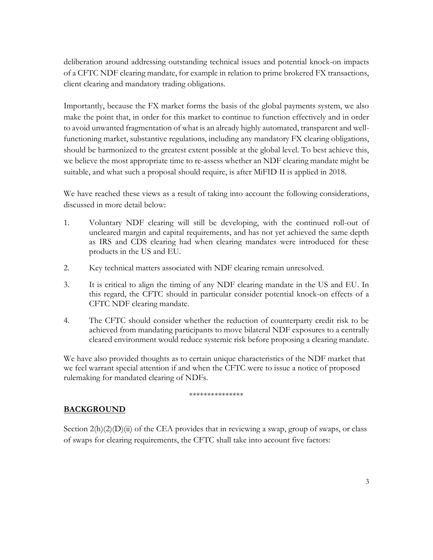deliberation around addressing outstanding technical issues and potential knock-on impacts of a CFTC NDF clearing mandate, for example in relation to prime brokered FX transactions, client clearing and mandatory trading obligations.

Importantly, because the FX market forms the basis of the global payments system, we also make the point that, in order for this market to continue to function effectively and in order to avoid unwanted fragmentation of what is an already highly automated, transparent and wellfunctioning market, substantive regulations, including any mandatory FX clearing obligations, should be harmonized to the greatest extent possible at the global level. To best achieve this, we believe the most appropriate time to re-assess whether an NDF clearing mandate might be suitable, and what such a proposal should require, is after MiFID II is applied in 2018.

We have reached these views as a result of taking into account the following considerations, discussed in more detail below:

- 1. Voluntary NDF clearing will still be developing, with the continued roll-out of uncleared margin and capital requirements, and has not yet achieved the same depth as IRS and CDS clearing had when clearing mandates were introduced for these products in the US and EU.
- 2. Key technical matters associated with NDF clearing remain unresolved.
- 3. It is critical to align the timing of any NDF clearing mandate in the US and EU. In this regard, the CFTC should in particular consider potential knock-on effects of a CFTC NDF clearing mandate.
- 4. The CFTC should consider whether the reduction of counterparty credit risk to be achieved from mandating participants to move bilateral NDF exposures to a centrally cleared environment would reduce systemic risk before proposing a clearing mandate.

We have also provided thoughts as to certain unique characteristics of the NDF market that we feel warrant special attention if and when the CFTC were to issue a notice of proposed rulemaking for mandated clearing of NDFs.

#### \*\*\*\*\*\*\*\*\*\*\*\*\*

## **BACKGROUND**

Section  $2(h)(2)(D)(ii)$  of the CEA provides that in reviewing a swap, group of swaps, or class of swaps for clearing requirements, the CFTC shall take into account five factors: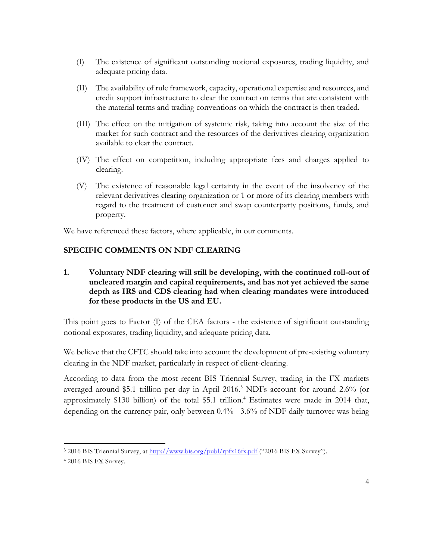- (I) The existence of significant outstanding notional exposures, trading liquidity, and adequate pricing data.
- (II) The availability of rule framework, capacity, operational expertise and resources, and credit support infrastructure to clear the contract on terms that are consistent with the material terms and trading conventions on which the contract is then traded.
- (III) The effect on the mitigation of systemic risk, taking into account the size of the market for such contract and the resources of the derivatives clearing organization available to clear the contract.
- (IV) The effect on competition, including appropriate fees and charges applied to clearing.
- (V) The existence of reasonable legal certainty in the event of the insolvency of the relevant derivatives clearing organization or 1 or more of its clearing members with regard to the treatment of customer and swap counterparty positions, funds, and property.

We have referenced these factors, where applicable, in our comments.

## **SPECIFIC COMMENTS ON NDF CLEARING**

**1. Voluntary NDF clearing will still be developing, with the continued roll-out of uncleared margin and capital requirements, and has not yet achieved the same depth as IRS and CDS clearing had when clearing mandates were introduced for these products in the US and EU.**

This point goes to Factor (I) of the CEA factors - the existence of significant outstanding notional exposures, trading liquidity, and adequate pricing data.

We believe that the CFTC should take into account the development of pre-existing voluntary clearing in the NDF market, particularly in respect of client-clearing.

According to data from the most recent BIS Triennial Survey, trading in the FX markets averaged around \$5.1 trillion per day in April 2016. <sup>3</sup> NDFs account for around 2.6% (or approximately \$130 billion) of the total \$5.1 trillion. <sup>4</sup> Estimates were made in 2014 that, depending on the currency pair, only between 0.4% - 3.6% of NDF daily turnover was being

<sup>&</sup>lt;sup>3</sup> 2016 BIS Triennial Survey, at<http://www.bis.org/publ/rpfx16fx.pdf> ("2016 BIS FX Survey").

<sup>4</sup> 2016 BIS FX Survey.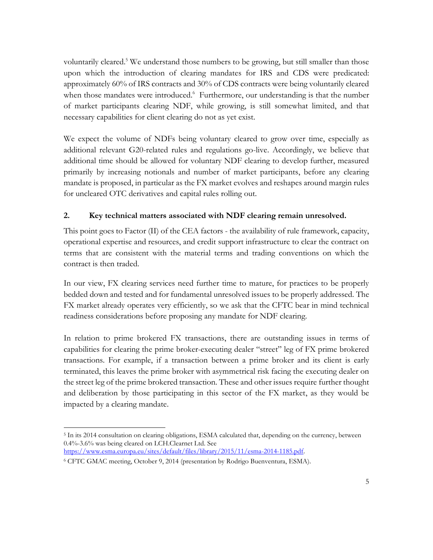voluntarily cleared.<sup>5</sup> We understand those numbers to be growing, but still smaller than those upon which the introduction of clearing mandates for IRS and CDS were predicated: approximately 60% of IRS contracts and 30% of CDS contracts were being voluntarily cleared when those mandates were introduced.<sup>6</sup> Furthermore, our understanding is that the number of market participants clearing NDF, while growing, is still somewhat limited, and that necessary capabilities for client clearing do not as yet exist.

We expect the volume of NDFs being voluntary cleared to grow over time, especially as additional relevant G20-related rules and regulations go-live. Accordingly, we believe that additional time should be allowed for voluntary NDF clearing to develop further, measured primarily by increasing notionals and number of market participants, before any clearing mandate is proposed, in particular as the FX market evolves and reshapes around margin rules for uncleared OTC derivatives and capital rules rolling out.

## **2. Key technical matters associated with NDF clearing remain unresolved.**

This point goes to Factor (II) of the CEA factors - the availability of rule framework, capacity, operational expertise and resources, and credit support infrastructure to clear the contract on terms that are consistent with the material terms and trading conventions on which the contract is then traded.

In our view, FX clearing services need further time to mature, for practices to be properly bedded down and tested and for fundamental unresolved issues to be properly addressed. The FX market already operates very efficiently, so we ask that the CFTC bear in mind technical readiness considerations before proposing any mandate for NDF clearing.

In relation to prime brokered FX transactions, there are outstanding issues in terms of capabilities for clearing the prime broker-executing dealer "street" leg of FX prime brokered transactions. For example, if a transaction between a prime broker and its client is early terminated, this leaves the prime broker with asymmetrical risk facing the executing dealer on the street leg of the prime brokered transaction. These and other issues require further thought and deliberation by those participating in this sector of the FX market, as they would be impacted by a clearing mandate.

 $\overline{a}$ <sup>5</sup> In its 2014 consultation on clearing obligations, ESMA calculated that, depending on the currency, between 0.4%-3.6% was being cleared on LCH.Clearnet Ltd. See

[https://www.esma.europa.eu/sites/default/files/library/2015/11/esma-2014-1185.pdf.](https://www.esma.europa.eu/sites/default/files/library/2015/11/esma-2014-1185.pdf)

<sup>6</sup> CFTC GMAC meeting, October 9, 2014 (presentation by Rodrigo Buenventura, ESMA).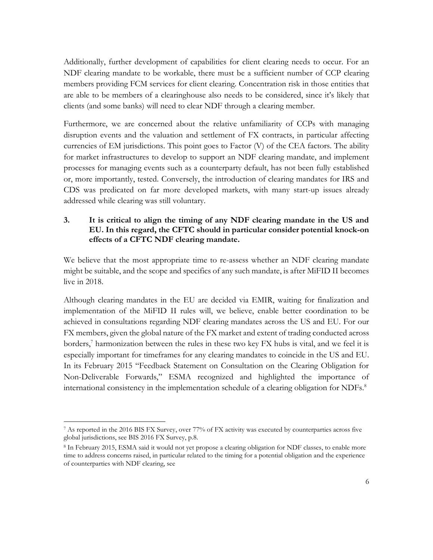Additionally, further development of capabilities for client clearing needs to occur. For an NDF clearing mandate to be workable, there must be a sufficient number of CCP clearing members providing FCM services for client clearing. Concentration risk in those entities that are able to be members of a clearinghouse also needs to be considered, since it's likely that clients (and some banks) will need to clear NDF through a clearing member.

Furthermore, we are concerned about the relative unfamiliarity of CCPs with managing disruption events and the valuation and settlement of FX contracts, in particular affecting currencies of EM jurisdictions. This point goes to Factor (V) of the CEA factors. The ability for market infrastructures to develop to support an NDF clearing mandate, and implement processes for managing events such as a counterparty default, has not been fully established or, more importantly, tested. Conversely, the introduction of clearing mandates for IRS and CDS was predicated on far more developed markets, with many start-up issues already addressed while clearing was still voluntary.

### **3. It is critical to align the timing of any NDF clearing mandate in the US and EU. In this regard, the CFTC should in particular consider potential knock-on effects of a CFTC NDF clearing mandate.**

We believe that the most appropriate time to re-assess whether an NDF clearing mandate might be suitable, and the scope and specifics of any such mandate, is after MiFID II becomes live in 2018.

Although clearing mandates in the EU are decided via EMIR, waiting for finalization and implementation of the MiFID II rules will, we believe, enable better coordination to be achieved in consultations regarding NDF clearing mandates across the US and EU. For our FX members, given the global nature of the FX market and extent of trading conducted across borders, $\frac{7}{7}$  harmonization between the rules in these two key FX hubs is vital, and we feel it is especially important for timeframes for any clearing mandates to coincide in the US and EU. In its February 2015 "Feedback Statement on Consultation on the Clearing Obligation for Non-Deliverable Forwards," ESMA recognized and highlighted the importance of international consistency in the implementation schedule of a clearing obligation for  $NDFs$ .<sup>8</sup>

 $\overline{a}$ <sup>7</sup> As reported in the 2016 BIS FX Survey, over 77% of FX activity was executed by counterparties across five global jurisdictions, see BIS 2016 FX Survey, p.8.

<sup>8</sup> In February 2015, ESMA said it would not yet propose a clearing obligation for NDF classes, to enable more time to address concerns raised, in particular related to the timing for a potential obligation and the experience of counterparties with NDF clearing, see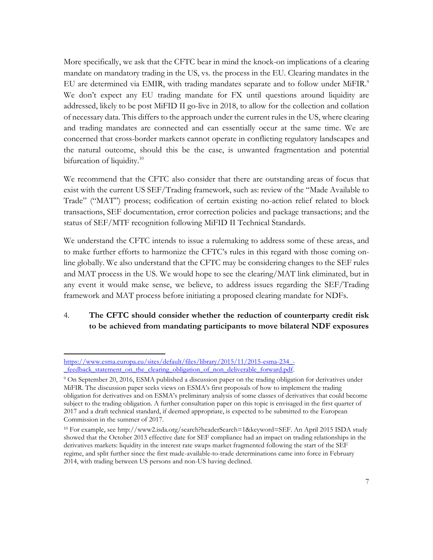More specifically, we ask that the CFTC bear in mind the knock-on implications of a clearing mandate on mandatory trading in the US, vs. the process in the EU. Clearing mandates in the EU are determined via EMIR, with trading mandates separate and to follow under MiFIR.<sup>9</sup> We don't expect any EU trading mandate for FX until questions around liquidity are addressed, likely to be post MiFID II go-live in 2018, to allow for the collection and collation of necessary data. This differs to the approach under the current rules in the US, where clearing and trading mandates are connected and can essentially occur at the same time. We are concerned that cross-border markets cannot operate in conflicting regulatory landscapes and the natural outcome, should this be the case, is unwanted fragmentation and potential bifurcation of liquidity.<sup>10</sup>

We recommend that the CFTC also consider that there are outstanding areas of focus that exist with the current US SEF/Trading framework, such as: review of the "Made Available to Trade" ("MAT") process; codification of certain existing no-action relief related to block transactions, SEF documentation, error correction policies and package transactions; and the status of SEF/MTF recognition following MiFID II Technical Standards.

We understand the CFTC intends to issue a rulemaking to address some of these areas, and to make further efforts to harmonize the CFTC's rules in this regard with those coming online globally. We also understand that the CFTC may be considering changes to the SEF rules and MAT process in the US. We would hope to see the clearing/MAT link eliminated, but in any event it would make sense, we believe, to address issues regarding the SEF/Trading framework and MAT process before initiating a proposed clearing mandate for NDFs.

## 4. **The CFTC should consider whether the reduction of counterparty credit risk to be achieved from mandating participants to move bilateral NDF exposures**

[https://www.esma.europa.eu/sites/default/files/library/2015/11/2015-esma-234\\_-](https://www.esma.europa.eu/sites/default/files/library/2015/11/2015-esma-234_-_feedback_statement_on_the_clearing_obligation_of_non_deliverable_forward.pdf) [\\_feedback\\_statement\\_on\\_the\\_clearing\\_obligation\\_of\\_non\\_deliverable\\_forward.pdf.](https://www.esma.europa.eu/sites/default/files/library/2015/11/2015-esma-234_-_feedback_statement_on_the_clearing_obligation_of_non_deliverable_forward.pdf)

<sup>9</sup> On September 20, 2016, ESMA published a discussion paper on the trading obligation for derivatives under MiFIR. The discussion paper seeks views on ESMA's first proposals of how to implement the trading obligation for derivatives and on ESMA's preliminary analysis of some classes of derivatives that could become subject to the trading obligation. A further consultation paper on this topic is envisaged in the first quarter of 2017 and a draft technical standard, if deemed appropriate, is expected to be submitted to the European Commission in the summer of 2017.

<sup>&</sup>lt;sup>10</sup> For example, see http://www2.isda.org/search?headerSearch=1&keyword=SEF. An April 2015 ISDA study showed that the October 2013 effective date for SEF compliance had an impact on trading relationships in the derivatives markets: liquidity in the interest rate swaps market fragmented following the start of the SEF regime, and split further since the first made-available-to-trade determinations came into force in February 2014, with trading between US persons and non-US having declined.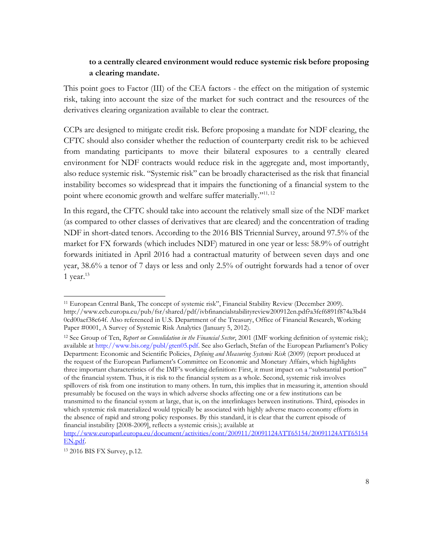### **to a centrally cleared environment would reduce systemic risk before proposing a clearing mandate.**

This point goes to Factor (III) of the CEA factors - the effect on the mitigation of systemic risk, taking into account the size of the market for such contract and the resources of the derivatives clearing organization available to clear the contract.

CCPs are designed to mitigate credit risk. Before proposing a mandate for NDF clearing, the CFTC should also consider whether the reduction of counterparty credit risk to be achieved from mandating participants to move their bilateral exposures to a centrally cleared environment for NDF contracts would reduce risk in the aggregate and, most importantly, also reduce systemic risk. "Systemic risk" can be broadly characterised as the risk that financial instability becomes so widespread that it impairs the functioning of a financial system to the point where economic growth and welfare suffer materially."11, <sup>12</sup>

In this regard, the CFTC should take into account the relatively small size of the NDF market (as compared to other classes of derivatives that are cleared) and the concentration of trading NDF in short-dated tenors. According to the 2016 BIS Triennial Survey, around 97.5% of the market for FX forwards (which includes NDF) matured in one year or less: 58.9% of outright forwards initiated in April 2016 had a contractual maturity of between seven days and one year, 38.6% a tenor of 7 days or less and only 2.5% of outright forwards had a tenor of over 1 year. $13$ 

<sup>11</sup> European Central Bank, The concept of systemic risk", Financial Stability Review (December 2009). http://www.ecb.europa.eu/pub/fsr/shared/pdf/ivbfinancialstabilityreview200912en.pdf?a3fef6891f874a3bd4 0cd00aef38c64f. Also referenced in U.S. Department of the Treasury, Office of Financial Research, Working Paper #0001, A Survey of Systemic Risk Analytics (January 5, 2012).

<sup>12</sup> See Group of Ten, *Report on Consolidation in the Financial Sector*, 2001 (IMF working definition of systemic risk); available at http://www.bis.org/publ/gten05.pdf. See also Gerlach, Stefan of the European Parliament's Policy Department: Economic and Scientific Policies, *Defining and Measuring Systemic Risk* (2009) (report produced at the request of the European Parliament's Committee on Economic and Monetary Affairs, which highlights three important characteristics of the IMF's working definition: First, it must impact on a "substantial portion" of the financial system. Thus, it is risk to the financial system as a whole. Second, systemic risk involves spillovers of risk from one institution to many others. In turn, this implies that in measuring it, attention should presumably be focused on the ways in which adverse shocks affecting one or a few institutions can be transmitted to the financial system at large, that is, on the interlinkages between institutions. Third, episodes in which systemic risk materialized would typically be associated with highly adverse macro economy efforts in the absence of rapid and strong policy responses. By this standard, it is clear that the current episode of financial instability [2008-2009], reflects a systemic crisis.); available at

[http://www.europarl.europa.eu/document/activities/cont/200911/20091124ATT65154/20091124ATT65154](http://www.europarl.europa.eu/document/activities/cont/200911/20091124ATT65154/20091124ATT65154EN.pdf) [EN.pdf.](http://www.europarl.europa.eu/document/activities/cont/200911/20091124ATT65154/20091124ATT65154EN.pdf)

<sup>13</sup> 2016 BIS FX Survey, p.12.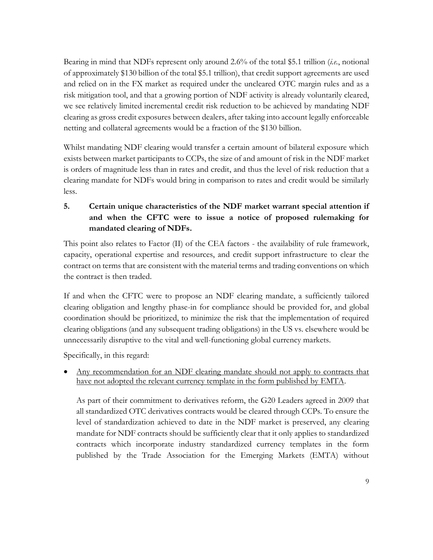Bearing in mind that NDFs represent only around 2.6% of the total \$5.1 trillion (*i.e.*, notional of approximately \$130 billion of the total \$5.1 trillion), that credit support agreements are used and relied on in the FX market as required under the uncleared OTC margin rules and as a risk mitigation tool, and that a growing portion of NDF activity is already voluntarily cleared, we see relatively limited incremental credit risk reduction to be achieved by mandating NDF clearing as gross credit exposures between dealers, after taking into account legally enforceable netting and collateral agreements would be a fraction of the \$130 billion.

Whilst mandating NDF clearing would transfer a certain amount of bilateral exposure which exists between market participants to CCPs, the size of and amount of risk in the NDF market is orders of magnitude less than in rates and credit, and thus the level of risk reduction that a clearing mandate for NDFs would bring in comparison to rates and credit would be similarly less.

# **5. Certain unique characteristics of the NDF market warrant special attention if and when the CFTC were to issue a notice of proposed rulemaking for mandated clearing of NDFs.**

This point also relates to Factor (II) of the CEA factors - the availability of rule framework, capacity, operational expertise and resources, and credit support infrastructure to clear the contract on terms that are consistent with the material terms and trading conventions on which the contract is then traded.

If and when the CFTC were to propose an NDF clearing mandate, a sufficiently tailored clearing obligation and lengthy phase-in for compliance should be provided for, and global coordination should be prioritized, to minimize the risk that the implementation of required clearing obligations (and any subsequent trading obligations) in the US vs. elsewhere would be unnecessarily disruptive to the vital and well-functioning global currency markets.

Specifically, in this regard:

 Any recommendation for an NDF clearing mandate should not apply to contracts that have not adopted the relevant currency template in the form published by EMTA.

As part of their commitment to derivatives reform, the G20 Leaders agreed in 2009 that all standardized OTC derivatives contracts would be cleared through CCPs. To ensure the level of standardization achieved to date in the NDF market is preserved, any clearing mandate for NDF contracts should be sufficiently clear that it only applies to standardized contracts which incorporate industry standardized currency templates in the form published by the Trade Association for the Emerging Markets (EMTA) without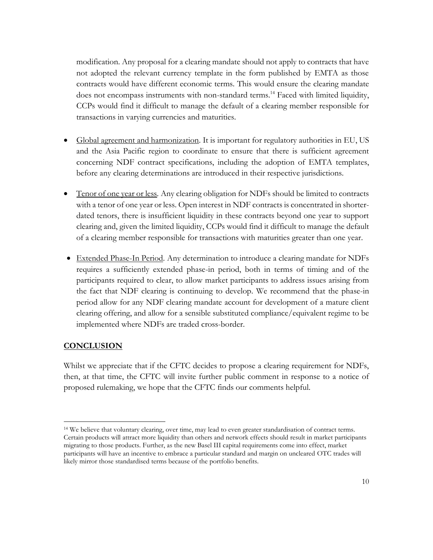modification. Any proposal for a clearing mandate should not apply to contracts that have not adopted the relevant currency template in the form published by EMTA as those contracts would have different economic terms. This would ensure the clearing mandate does not encompass instruments with non-standard terms.<sup>14</sup> Faced with limited liquidity, CCPs would find it difficult to manage the default of a clearing member responsible for transactions in varying currencies and maturities.

- Global agreement and harmonization. It is important for regulatory authorities in EU, US and the Asia Pacific region to coordinate to ensure that there is sufficient agreement concerning NDF contract specifications, including the adoption of EMTA templates, before any clearing determinations are introduced in their respective jurisdictions.
- Tenor of one year or less*.* Any clearing obligation for NDFs should be limited to contracts with a tenor of one year or less. Open interest in NDF contracts is concentrated in shorterdated tenors, there is insufficient liquidity in these contracts beyond one year to support clearing and, given the limited liquidity, CCPs would find it difficult to manage the default of a clearing member responsible for transactions with maturities greater than one year.
- Extended Phase-In Period*.* Any determination to introduce a clearing mandate for NDFs requires a sufficiently extended phase-in period, both in terms of timing and of the participants required to clear, to allow market participants to address issues arising from the fact that NDF clearing is continuing to develop. We recommend that the phase-in period allow for any NDF clearing mandate account for development of a mature client clearing offering, and allow for a sensible substituted compliance/equivalent regime to be implemented where NDFs are traded cross-border.

## **CONCLUSION**

 $\overline{a}$ 

Whilst we appreciate that if the CFTC decides to propose a clearing requirement for NDFs, then, at that time, the CFTC will invite further public comment in response to a notice of proposed rulemaking, we hope that the CFTC finds our comments helpful.

<sup>14</sup> We believe that voluntary clearing, over time, may lead to even greater standardisation of contract terms. Certain products will attract more liquidity than others and network effects should result in market participants migrating to those products. Further, as the new Basel III capital requirements come into effect, market participants will have an incentive to embrace a particular standard and margin on uncleared OTC trades will likely mirror those standardised terms because of the portfolio benefits.